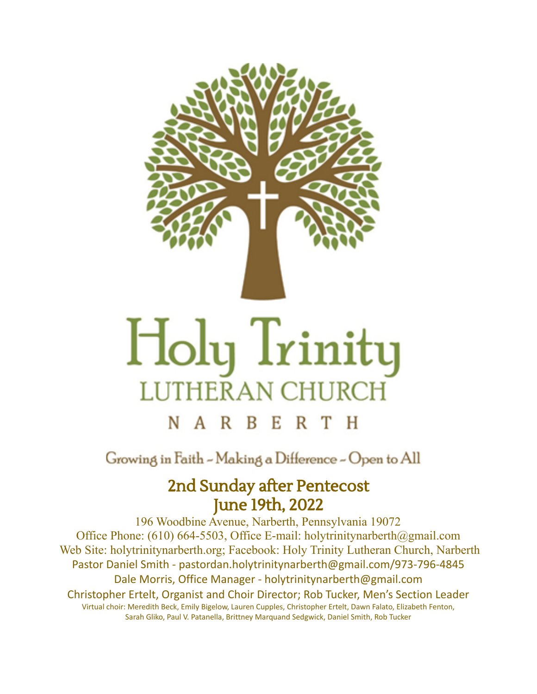

# Holy Trinity **LUTHERAN CHURCH**

NARBERTH

Growing in Faith - Making a Difference - Open to All

# 2nd Sunday after Pentecost June 19th, 2022

196 Woodbine Avenue, Narberth, Pennsylvania 19072 Office Phone: (610) 664-5503, Office E-mail: holytrinitynarberth@gmail.com Web Site: holytrinitynarberth.org; Facebook: Holy Trinity Lutheran Church, Narberth Pastor Daniel Smith - pastordan.holytrinitynarberth@gmail.com/973-796-4845 Dale Morris, Office Manager - holytrinitynarberth@gmail.com Christopher Ertelt, Organist and Choir Director; Rob Tucker, Men's Section Leader Virtual choir: Meredith Beck, Emily Bigelow, Lauren Cupples, Christopher Ertelt, Dawn Falato, Elizabeth Fenton, Sarah Gliko, Paul V. Patanella, Brittney Marquand Sedgwick, Daniel Smith, Rob Tucker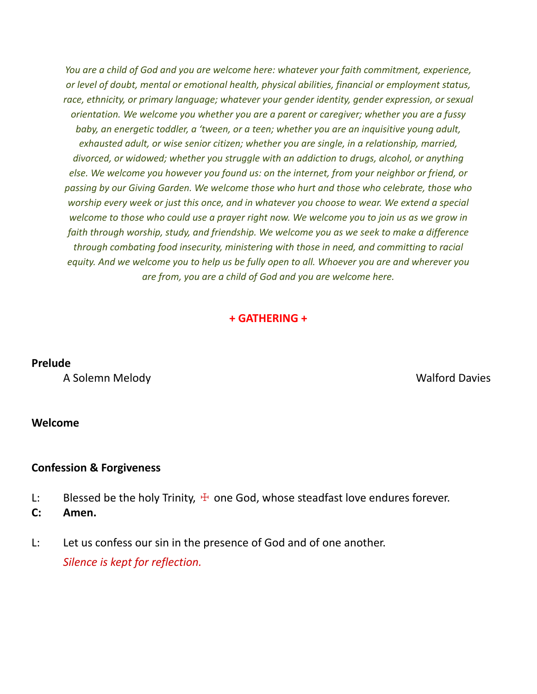*You are a child of God and you are welcome here: whatever your faith commitment, experience, or level of doubt, mental or emotional health, physical abilities, financial or employment status, race, ethnicity, or primary language; whatever your gender identity, gender expression, or sexual orientation. We welcome you whether you are a parent or caregiver; whether you are a fussy baby, an energetic toddler, a 'tween, or a teen; whether you are an inquisitive young adult, exhausted adult, or wise senior citizen; whether you are single, in a relationship, married, divorced, or widowed; whether you struggle with an addiction to drugs, alcohol, or anything else. We welcome you however you found us: on the internet, from your neighbor or friend, or passing by our Giving Garden. We welcome those who hurt and those who celebrate, those who worship every week or just this once, and in whatever you choose to wear. We extend a special welcome to those who could use a prayer right now. We welcome you to join us as we grow in faith through worship, study, and friendship. We welcome you as we seek to make a difference through combating food insecurity, ministering with those in need, and committing to racial equity. And we welcome you to help us be fully open to all. Whoever you are and wherever you are from, you are a child of God and you are welcome here.*

#### **+ GATHERING +**

#### **Prelude**

A Solemn Melody National Association of the Walford Davies

#### **Welcome**

#### **Confession & Forgiveness**

- L: Blessed be the holy Trinity,  $\pm$  one God, whose steadfast love endures forever.
- **C: Amen.**
- L: Let us confess our sin in the presence of God and of one another. *Silence is kept for reflection.*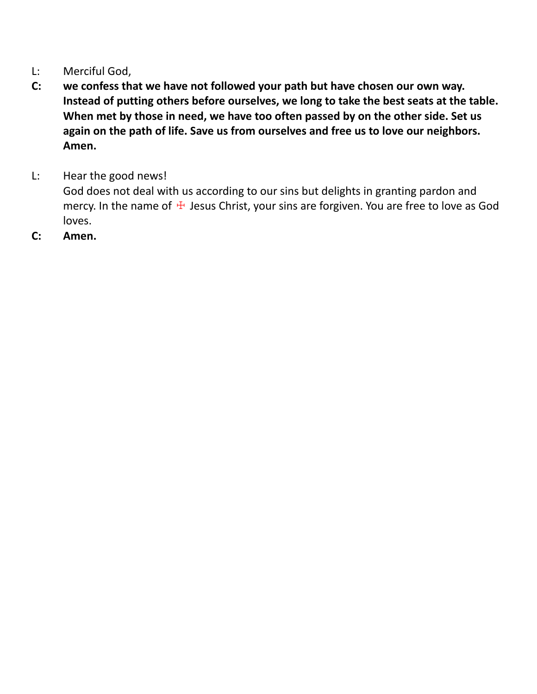- L: Merciful God,
- **C: we confess that we have not followed your path but have chosen our own way. Instead of putting others before ourselves, we long to take the best seats at the table. When met by those in need, we have too often passed by on the other side. Set us again on the path of life. Save us from ourselves and free us to love our neighbors. Amen.**
- L: Hear the good news!

God does not deal with us according to our sins but delights in granting pardon and mercy. In the name of  $\pm$  Jesus Christ, your sins are forgiven. You are free to love as God loves.

**C: Amen.**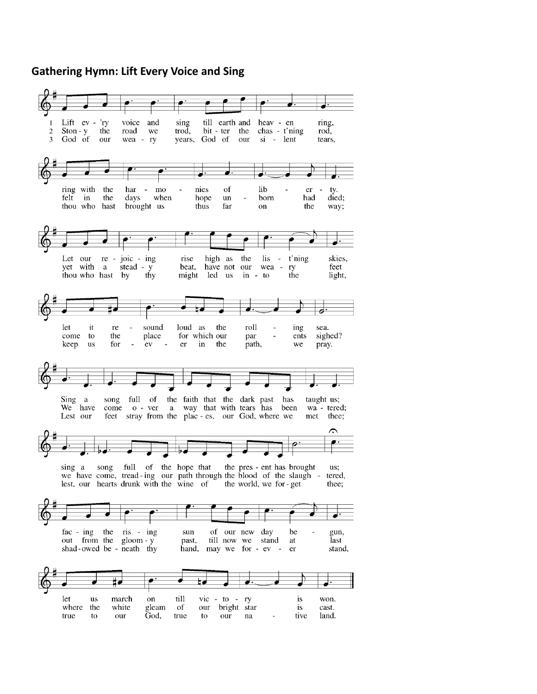#### **Gathering Hymn: Lift Every Voice and Sing**

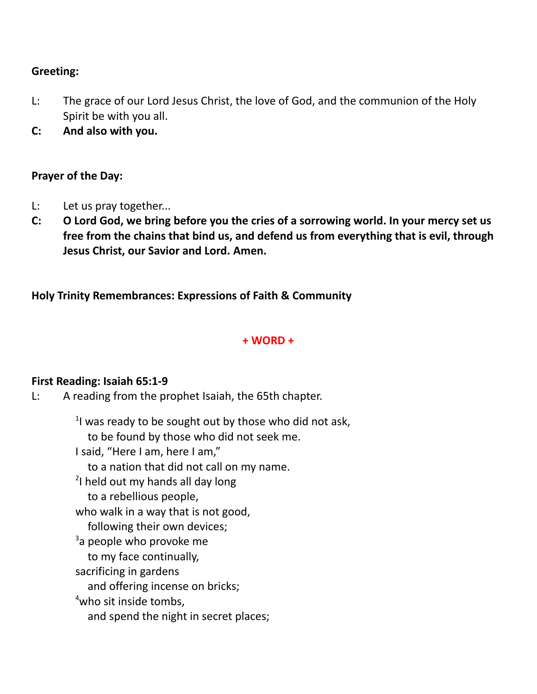# **Greeting:**

- L: The grace of our Lord Jesus Christ, the love of God, and the communion of the Holy Spirit be with you all.
- **C: And also with you.**

## **Prayer of the Day:**

- L: Let us pray together...
- **C: O Lord God, we bring before you the cries of a sorrowing world. In your mercy set us free from the chains that bind us, and defend us from everything that is evil, through Jesus Christ, our Savior and Lord. Amen.**

# **Holy Trinity Remembrances: Expressions of Faith & Community**

## **+ WORD +**

# **First Reading: Isaiah 65:1-9**

L: A reading from the prophet Isaiah, the 65th chapter.

 $1$  was ready to be sought out by those who did not ask, to be found by those who did not seek me. I said, "Here I am, here I am," to a nation that did not call on my name. <sup>2</sup>I held out my hands all day long to a rebellious people, who walk in a way that is not good, following their own devices;  $3a$  people who provoke me to my face continually, sacrificing in gardens and offering incense on bricks; <sup>4</sup>who sit inside tombs, and spend the night in secret places;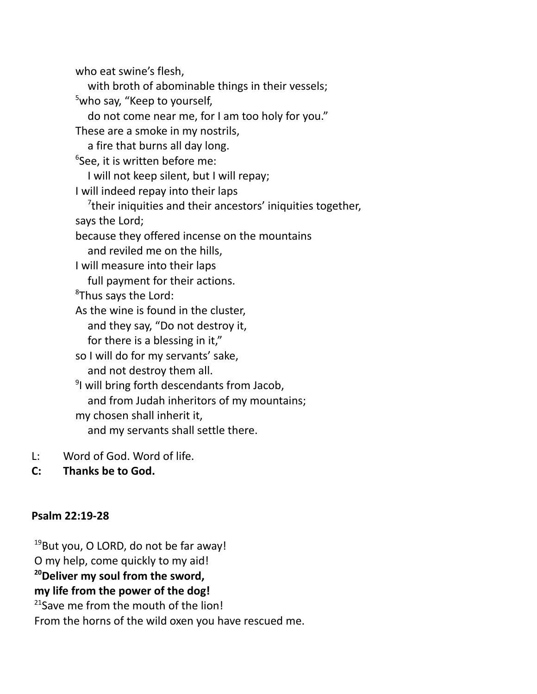who eat swine's flesh, with broth of abominable things in their vessels; <sup>5</sup>who say, "Keep to yourself, do not come near me, for I am too holy for you." These are a smoke in my nostrils, a fire that burns all day long.  $6$ See, it is written before me: I will not keep silent, but I will repay; I will indeed repay into their laps <sup>7</sup>their iniquities and their ancestors' iniquities together, says the Lord; because they offered incense on the mountains and reviled me on the hills, I will measure into their laps full payment for their actions.  ${}^{8}$ Thus says the Lord: As the wine is found in the cluster, and they say, "Do not destroy it, for there is a blessing in it," so I will do for my servants' sake, and not destroy them all. <sup>9</sup>I will bring forth descendants from Jacob, and from Judah inheritors of my mountains; my chosen shall inherit it, and my servants shall settle there.

- L: Word of God. Word of life.
- **C: Thanks be to God.**

# **Psalm 22:19-28**

 $19$ But you, O LORD, do not be far away! O my help, come quickly to my aid! **<sup>20</sup>Deliver my soul from the sword, my life from the power of the dog!**  $21$ Save me from the mouth of the lion!

From the horns of the wild oxen you have rescued me.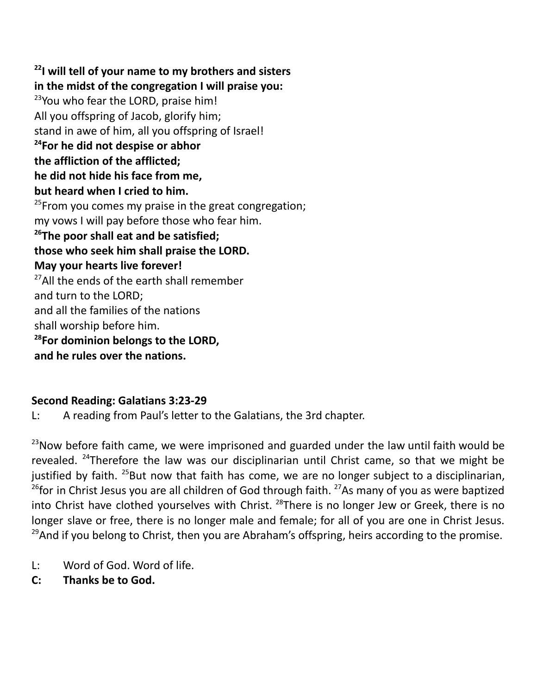**22 I will tell of your name to my brothers and sisters in the midst of the congregation I will praise you:** <sup>23</sup>You who fear the LORD, praise him! All you offspring of Jacob, glorify him; stand in awe of him, all you offspring of Israel! **<sup>24</sup>For he did not despise or abhor the affliction of the afflicted; he did not hide his face from me, but heard when I cried to him.**  $25$ From you comes my praise in the great congregation; my vows I will pay before those who fear him. **<sup>26</sup>The poor shall eat and be satisfied; those who seek him shall praise the LORD. May your hearts live forever!**  $27$ All the ends of the earth shall remember and turn to the LORD; and all the families of the nations shall worship before him. **<sup>28</sup>For dominion belongs to the LORD, and he rules over the nations.**

# **Second Reading: Galatians 3:23-29**

L: A reading from Paul's letter to the Galatians, the 3rd chapter.

 $23$ Now before faith came, we were imprisoned and guarded under the law until faith would be revealed. <sup>24</sup>Therefore the law was our disciplinarian until Christ came, so that we might be justified by faith. <sup>25</sup>But now that faith has come, we are no longer subject to a disciplinarian, <sup>26</sup>for in Christ Jesus you are all children of God through faith. <sup>27</sup>As many of you as were baptized into Christ have clothed yourselves with Christ. <sup>28</sup>There is no longer Jew or Greek, there is no longer slave or free, there is no longer male and female; for all of you are one in Christ Jesus.  $^{29}$ And if you belong to Christ, then you are Abraham's offspring, heirs according to the promise.

- L: Word of God. Word of life.
- **C: Thanks be to God.**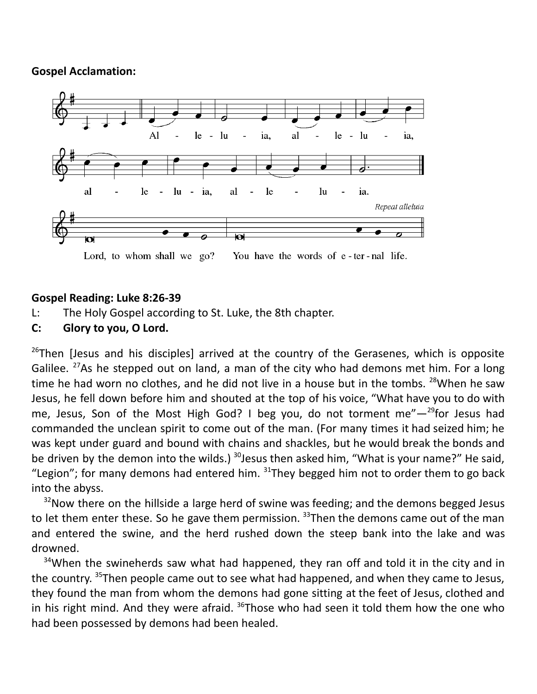## **Gospel Acclamation:**



You have the words of e-ter-nal life. Lord, to whom shall we go?

## **Gospel Reading: Luke 8:26-39**

- L: The Holy Gospel according to St. Luke, the 8th chapter.
- **C: Glory to you, O Lord.**

<sup>26</sup>Then [Jesus and his disciples] arrived at the country of the Gerasenes, which is opposite Galilee. <sup>27</sup>As he stepped out on land, a man of the city who had demons met him. For a long time he had worn no clothes, and he did not live in a house but in the tombs. <sup>28</sup>When he saw Jesus, he fell down before him and shouted at the top of his voice, "What have you to do with me, Jesus, Son of the Most High God? I beg you, do not torment me"—<sup>29</sup>for Jesus had commanded the unclean spirit to come out of the man. (For many times it had seized him; he was kept under guard and bound with chains and shackles, but he would break the bonds and be driven by the demon into the wilds.) <sup>30</sup>Jesus then asked him, "What is your name?" He said, "Legion"; for many demons had entered him.  $31$ They begged him not to order them to go back into the abyss.

 $32$ Now there on the hillside a large herd of swine was feeding; and the demons begged Jesus to let them enter these. So he gave them permission. <sup>33</sup>Then the demons came out of the man and entered the swine, and the herd rushed down the steep bank into the lake and was drowned.

 $34$ When the swineherds saw what had happened, they ran off and told it in the city and in the country. <sup>35</sup>Then people came out to see what had happened, and when they came to Jesus, they found the man from whom the demons had gone sitting at the feet of Jesus, clothed and in his right mind. And they were afraid. <sup>36</sup>Those who had seen it told them how the one who had been possessed by demons had been healed.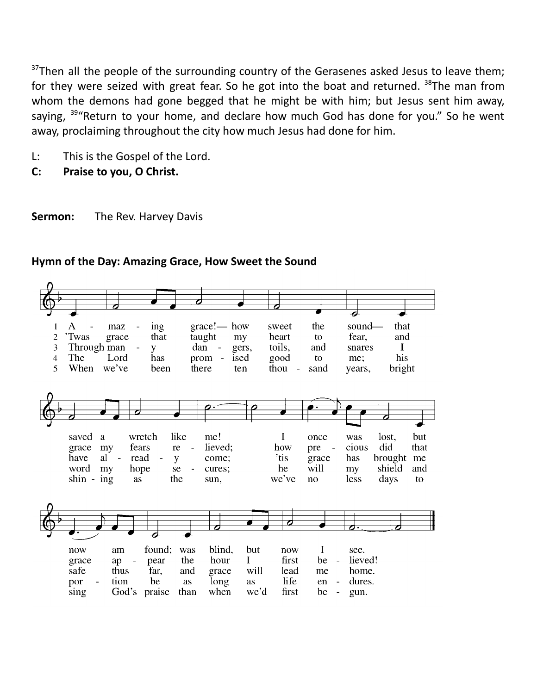$37$ Then all the people of the surrounding country of the Gerasenes asked Jesus to leave them; for they were seized with great fear. So he got into the boat and returned. <sup>38</sup>The man from whom the demons had gone begged that he might be with him; but Jesus sent him away, saying, <sup>39</sup>"Return to your home, and declare how much God has done for you." So he went away, proclaiming throughout the city how much Jesus had done for him.

- L: This is the Gospel of the Lord.
- **C: Praise to you, O Christ.**

#### **Sermon:** The Rev. Harvey Davis

#### the sound that A maz ing  $\text{grace!}$  how sweet  $\mathbf{1}$ 'Twas  $\overline{2}$ grace that taught heart to fear. and my 3 Through man dan toils, and snares  $\bf{I}$ y gers,  $\overline{4}$ The Lord prom ised good me; his has  $\overline{a}$ to  $\overline{\mathbf{S}}$ When we've there thou bright been ten sand years, saved a wretch like me! I once was lost, but grace my fears re  $\sim$ lieved; how pre cious did that  $\sim$   $$ read 'tis brought me have al - $\bar{\phantom{a}}$ y come; grace has word shield and my hope he will se cures; my  $\sin - \text{ing}$ **as** the sun, we've  $no$ less days to blind, found; was but  $\bf{I}$ now  $\rm am$ now see. lieved! pear the hour  $\bf I$ first be  $\sim$ grace ap  $\sim$ will lead home. safe thus far, and grace me por tion be **as** long life  $\sim$ dures. **as** en God's praise than we'd first  $\bar{\phantom{a}}$ sing when be gun.

# **Hymn of the Day: Amazing Grace, How Sweet the Sound**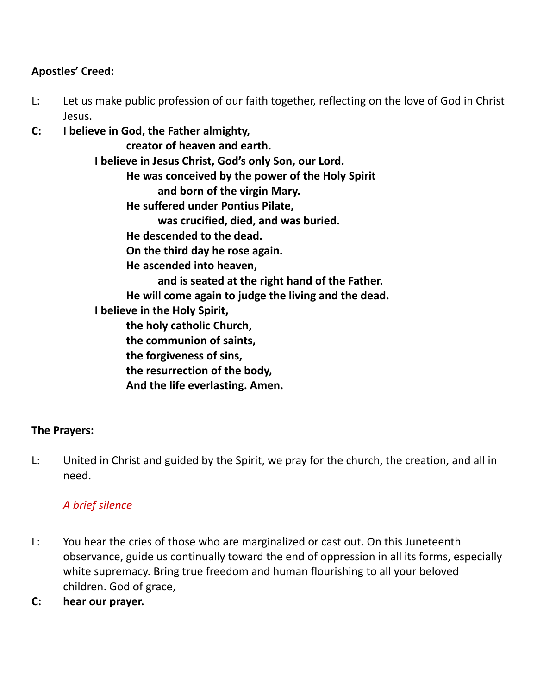# **Apostles' Creed:**

- L: Let us make public profession of our faith together, reflecting on the love of God in Christ Jesus.
- **C: I believe in God, the Father almighty,**

**creator of heaven and earth. I believe in Jesus Christ, God's only Son, our Lord. He was conceived by the power of the Holy Spirit and born of the virgin Mary. He suffered under Pontius Pilate, was crucified, died, and was buried. He descended to the dead. On the third day he rose again. He ascended into heaven, and is seated at the right hand of the Father. He will come again to judge the living and the dead. I believe in the Holy Spirit, the holy catholic Church, the communion of saints, the forgiveness of sins, the resurrection of the body, And the life everlasting. Amen.**

# **The Prayers:**

L: United in Christ and guided by the Spirit, we pray for the church, the creation, and all in need.

# *A brief silence*

- L: You hear the cries of those who are marginalized or cast out. On this Juneteenth observance, guide us continually toward the end of oppression in all its forms, especially white supremacy. Bring true freedom and human flourishing to all your beloved children. God of grace,
- **C: hear our prayer.**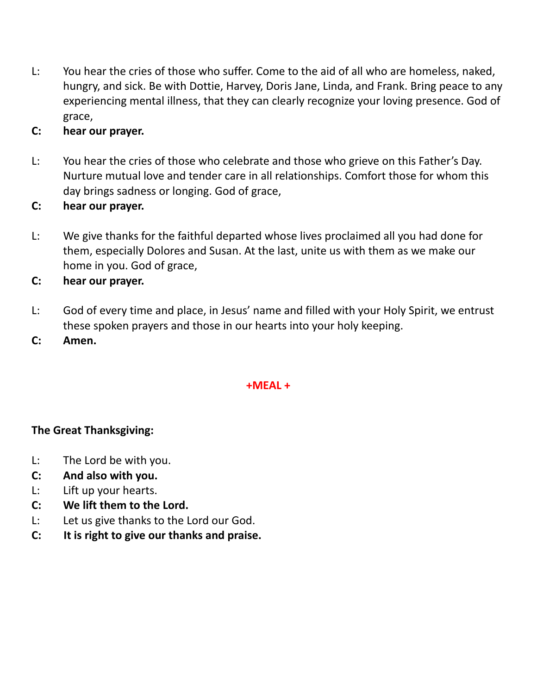L: You hear the cries of those who suffer. Come to the aid of all who are homeless, naked, hungry, and sick. Be with Dottie, Harvey, Doris Jane, Linda, and Frank. Bring peace to any experiencing mental illness, that they can clearly recognize your loving presence. God of grace,

# **C: hear our prayer.**

L: You hear the cries of those who celebrate and those who grieve on this Father's Day. Nurture mutual love and tender care in all relationships. Comfort those for whom this day brings sadness or longing. God of grace,

# **C: hear our prayer.**

L: We give thanks for the faithful departed whose lives proclaimed all you had done for them, especially Dolores and Susan. At the last, unite us with them as we make our home in you. God of grace,

# **C: hear our prayer.**

- L: God of every time and place, in Jesus' name and filled with your Holy Spirit, we entrust these spoken prayers and those in our hearts into your holy keeping.
- **C: Amen.**

# **+MEAL +**

# **The Great Thanksgiving:**

- L: The Lord be with you.
- **C: And also with you.**
- L: Lift up your hearts.
- **C: We lift them to the Lord.**
- L: Let us give thanks to the Lord our God.
- **C: It is right to give our thanks and praise.**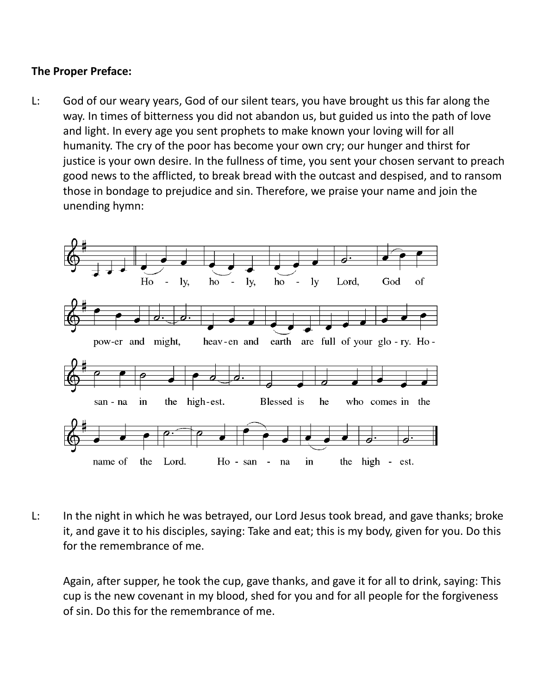# **The Proper Preface:**

L: God of our weary years, God of our silent tears, you have brought us this far along the way. In times of bitterness you did not abandon us, but guided us into the path of love and light. In every age you sent prophets to make known your loving will for all humanity. The cry of the poor has become your own cry; our hunger and thirst for justice is your own desire. In the fullness of time, you sent your chosen servant to preach good news to the afflicted, to break bread with the outcast and despised, and to ransom those in bondage to prejudice and sin. Therefore, we praise your name and join the unending hymn:



L: In the night in which he was betrayed, our Lord Jesus took bread, and gave thanks; broke it, and gave it to his disciples, saying: Take and eat; this is my body, given for you. Do this for the remembrance of me.

Again, after supper, he took the cup, gave thanks, and gave it for all to drink, saying: This cup is the new covenant in my blood, shed for you and for all people for the forgiveness of sin. Do this for the remembrance of me.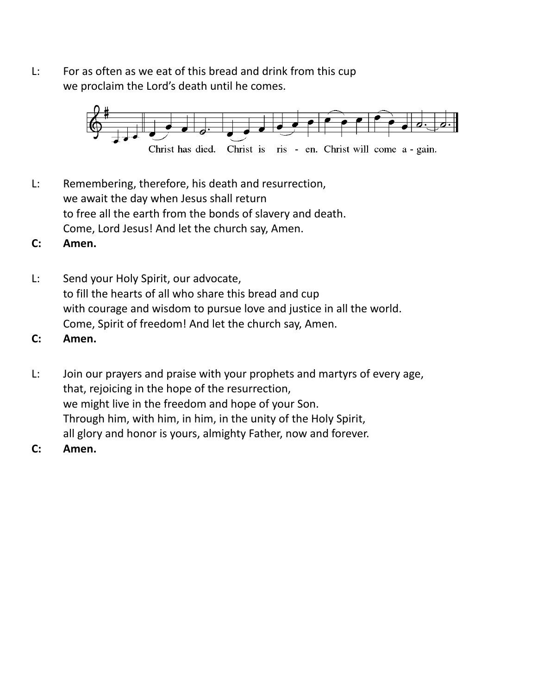L: For as often as we eat of this bread and drink from this cup we proclaim the Lord's death until he comes.



- L: Remembering, therefore, his death and resurrection, we await the day when Jesus shall return to free all the earth from the bonds of slavery and death. Come, Lord Jesus! And let the church say, Amen.
- **C: Amen.**
- L: Send your Holy Spirit, our advocate, to fill the hearts of all who share this bread and cup with courage and wisdom to pursue love and justice in all the world. Come, Spirit of freedom! And let the church say, Amen.
- **C: Amen.**
- L: Join our prayers and praise with your prophets and martyrs of every age, that, rejoicing in the hope of the resurrection, we might live in the freedom and hope of your Son. Through him, with him, in him, in the unity of the Holy Spirit, all glory and honor is yours, almighty Father, now and forever.
- **C: Amen.**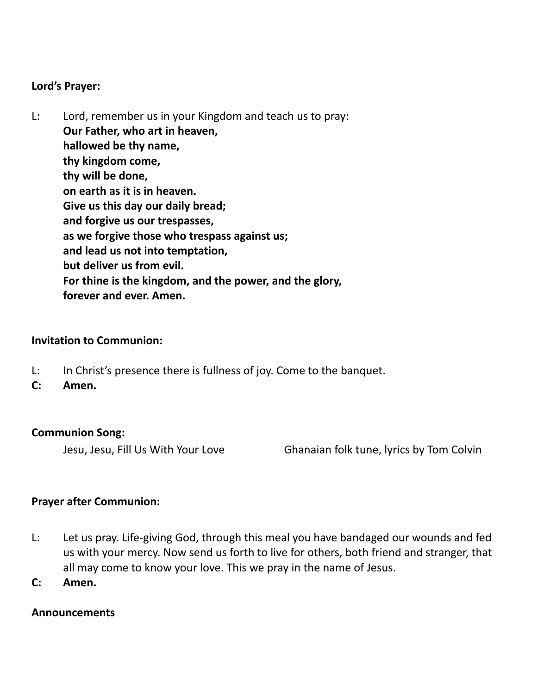## **Lord's Prayer:**

L: Lord, remember us in your Kingdom and teach us to pray: **Our Father, who art in heaven, hallowed be thy name, thy kingdom come, thy will be done, on earth as it is in heaven. Give us this day our daily bread; and forgive us our trespasses, as we forgive those who trespass against us; and lead us not into temptation, but deliver us from evil. For thine is the kingdom, and the power, and the glory, forever and ever. Amen.**

#### **Invitation to Communion:**

- L: In Christ's presence there is fullness of joy. Come to the banquet.
- **C: Amen.**

#### **Communion Song:**

Jesu, Jesu, Fill Us With Your Love Ghanaian folk tune, lyrics by Tom Colvin

#### **Prayer after Communion:**

- L: Let us pray. Life-giving God, through this meal you have bandaged our wounds and fed us with your mercy. Now send us forth to live for others, both friend and stranger, that all may come to know your love. This we pray in the name of Jesus.
- **C: Amen.**

#### **Announcements**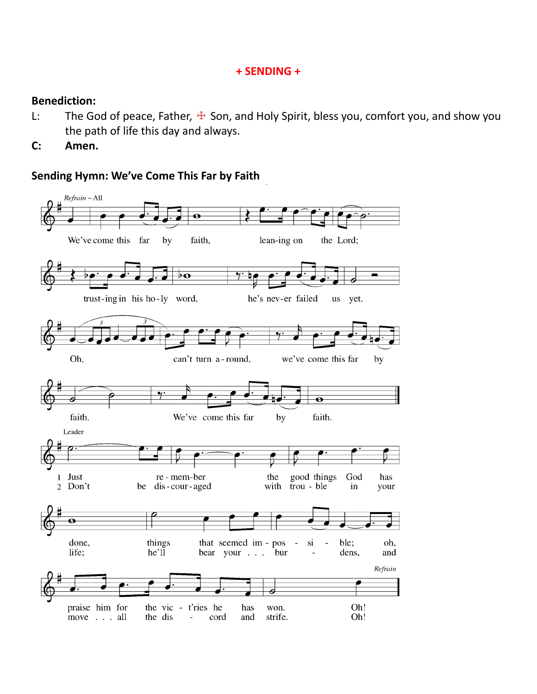#### **+ SENDING +**

#### **Benediction:**

- L: The God of peace, Father,  $\pm$  Son, and Holy Spirit, bless you, comfort you, and show you the path of life this day and always.
- **C: Amen.**

## **Sending Hymn: We've Come This Far by Faith**